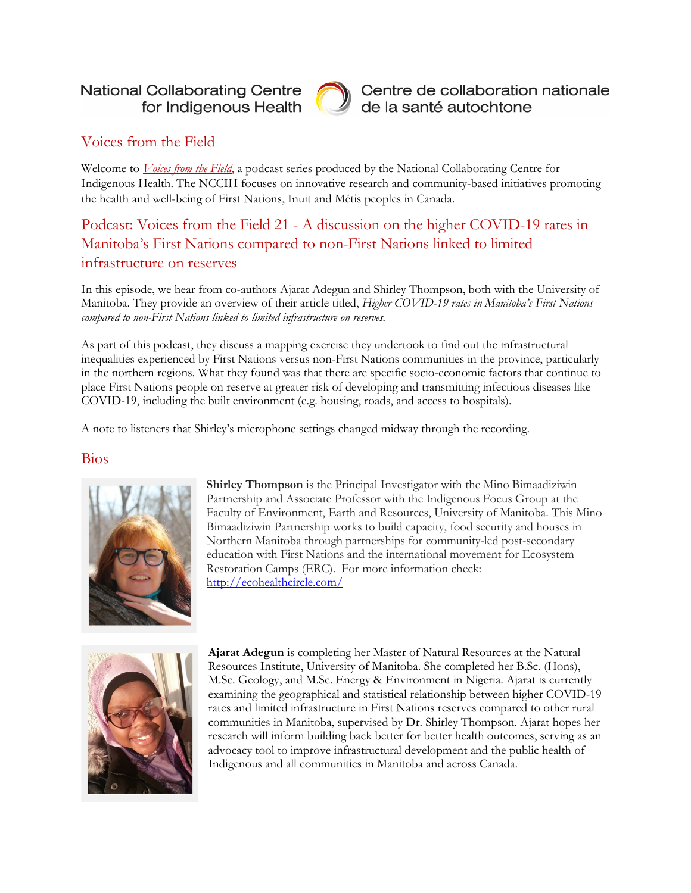### **National Collaborating Centre** for Indigenous Health



Centre de collaboration nationale de la santé autochtone

## Voices from the Field

Welcome to *[Voices from the Field](https://www.nccih.ca/495/Podcast_Series__Voices_From_the_Field.nccih?id=207)*, a podcast series produced by the National Collaborating Centre for Indigenous Health. The NCCIH focuses on innovative research and community-based initiatives promoting the health and well-being of First Nations, Inuit and Métis peoples in Canada.

# Podcast: Voices from the Field 21 - A discussion on the higher COVID-19 rates in Manitoba's First Nations compared to non-First Nations linked to limited infrastructure on reserves

In this episode, we hear from co-authors Ajarat Adegun and Shirley Thompson, both with the University of Manitoba. They provide an overview of their article titled, *Higher COVID-19 rates in Manitoba's First Nations compared to non-First Nations linked to limited infrastructure on reserves.*

As part of this podcast, they discuss a mapping exercise they undertook to find out the infrastructural inequalities experienced by First Nations versus non-First Nations communities in the province, particularly in the northern regions. What they found was that there are specific socio-economic factors that continue to place First Nations people on reserve at greater risk of developing and transmitting infectious diseases like COVID-19, including the built environment (e.g. housing, roads, and access to hospitals).

A note to listeners that Shirley's microphone settings changed midway through the recording.

#### Bios



**Shirley Thompson** is the Principal Investigator with the Mino Bimaadiziwin Partnership and Associate Professor with the Indigenous Focus Group at the Faculty of Environment, Earth and Resources, University of Manitoba. This Mino Bimaadiziwin Partnership works to build capacity, food security and houses in Northern Manitoba through partnerships for community-led post-secondary education with First Nations and the international movement for Ecosystem Restoration Camps (ERC). For more information check: <http://ecohealthcircle.com/>



**Ajarat Adegun** is completing her Master of Natural Resources at the Natural Resources Institute, University of Manitoba. She completed her B.Sc. (Hons), M.Sc. Geology, and M.Sc. Energy & Environment in Nigeria. Ajarat is currently examining the geographical and statistical relationship between higher COVID-19 rates and limited infrastructure in First Nations reserves compared to other rural communities in Manitoba, supervised by Dr. Shirley Thompson. Ajarat hopes her research will inform building back better for better health outcomes, serving as an advocacy tool to improve infrastructural development and the public health of Indigenous and all communities in Manitoba and across Canada.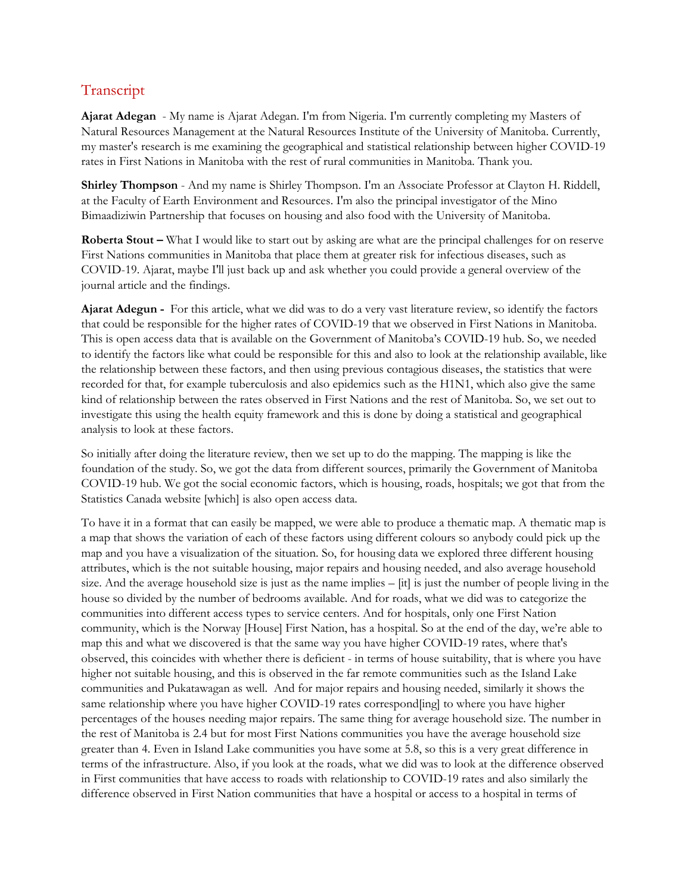## Transcript

**Ajarat Adegan** - My name is Ajarat Adegan. I'm from Nigeria. I'm currently completing my Masters of Natural Resources Management at the Natural Resources Institute of the University of Manitoba. Currently, my master's research is me examining the geographical and statistical relationship between higher COVID-19 rates in First Nations in Manitoba with the rest of rural communities in Manitoba. Thank you.

**Shirley Thompson** - And my name is Shirley Thompson. I'm an Associate Professor at Clayton H. Riddell, at the Faculty of Earth Environment and Resources. I'm also the principal investigator of the Mino Bimaadiziwin Partnership that focuses on housing and also food with the University of Manitoba.

**Roberta Stout – What I would like to start out by asking are what are the principal challenges for on reserve** First Nations communities in Manitoba that place them at greater risk for infectious diseases, such as COVID-19. Ajarat, maybe I'll just back up and ask whether you could provide a general overview of the journal article and the findings.

**Ajarat Adegun -** For this article, what we did was to do a very vast literature review, so identify the factors that could be responsible for the higher rates of COVID-19 that we observed in First Nations in Manitoba. This is open access data that is available on the Government of Manitoba's COVID-19 hub. So, we needed to identify the factors like what could be responsible for this and also to look at the relationship available, like the relationship between these factors, and then using previous contagious diseases, the statistics that were recorded for that, for example tuberculosis and also epidemics such as the H1N1, which also give the same kind of relationship between the rates observed in First Nations and the rest of Manitoba. So, we set out to investigate this using the health equity framework and this is done by doing a statistical and geographical analysis to look at these factors.

So initially after doing the literature review, then we set up to do the mapping. The mapping is like the foundation of the study. So, we got the data from different sources, primarily the Government of Manitoba COVID-19 hub. We got the social economic factors, which is housing, roads, hospitals; we got that from the Statistics Canada website [which] is also open access data.

To have it in a format that can easily be mapped, we were able to produce a thematic map. A thematic map is a map that shows the variation of each of these factors using different colours so anybody could pick up the map and you have a visualization of the situation. So, for housing data we explored three different housing attributes, which is the not suitable housing, major repairs and housing needed, and also average household size. And the average household size is just as the name implies – [it] is just the number of people living in the house so divided by the number of bedrooms available. And for roads, what we did was to categorize the communities into different access types to service centers. And for hospitals, only one First Nation community, which is the Norway [House] First Nation, has a hospital. So at the end of the day, we're able to map this and what we discovered is that the same way you have higher COVID-19 rates, where that's observed, this coincides with whether there is deficient - in terms of house suitability, that is where you have higher not suitable housing, and this is observed in the far remote communities such as the Island Lake communities and Pukatawagan as well. And for major repairs and housing needed, similarly it shows the same relationship where you have higher COVID-19 rates correspond[ing] to where you have higher percentages of the houses needing major repairs. The same thing for average household size. The number in the rest of Manitoba is 2.4 but for most First Nations communities you have the average household size greater than 4. Even in Island Lake communities you have some at 5.8, so this is a very great difference in terms of the infrastructure. Also, if you look at the roads, what we did was to look at the difference observed in First communities that have access to roads with relationship to COVID-19 rates and also similarly the difference observed in First Nation communities that have a hospital or access to a hospital in terms of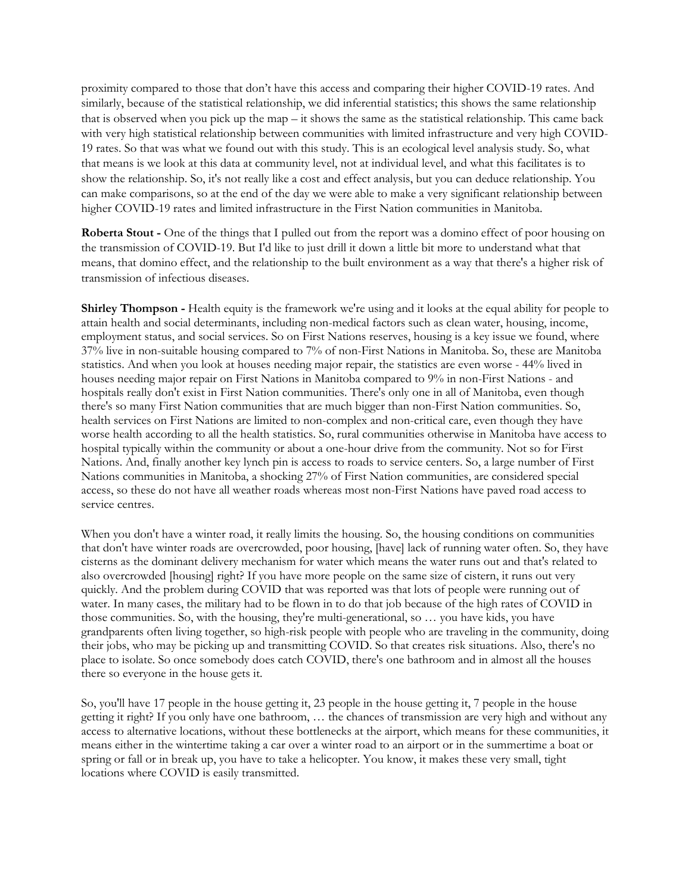proximity compared to those that don't have this access and comparing their higher COVID-19 rates. And similarly, because of the statistical relationship, we did inferential statistics; this shows the same relationship that is observed when you pick up the map – it shows the same as the statistical relationship. This came back with very high statistical relationship between communities with limited infrastructure and very high COVID-19 rates. So that was what we found out with this study. This is an ecological level analysis study. So, what that means is we look at this data at community level, not at individual level, and what this facilitates is to show the relationship. So, it's not really like a cost and effect analysis, but you can deduce relationship. You can make comparisons, so at the end of the day we were able to make a very significant relationship between higher COVID-19 rates and limited infrastructure in the First Nation communities in Manitoba.

**Roberta Stout -** One of the things that I pulled out from the report was a domino effect of poor housing on the transmission of COVID-19. But I'd like to just drill it down a little bit more to understand what that means, that domino effect, and the relationship to the built environment as a way that there's a higher risk of transmission of infectious diseases.

**Shirley Thompson -** Health equity is the framework we're using and it looks at the equal ability for people to attain health and social determinants, including non-medical factors such as clean water, housing, income, employment status, and social services. So on First Nations reserves, housing is a key issue we found, where 37% live in non-suitable housing compared to 7% of non-First Nations in Manitoba. So, these are Manitoba statistics. And when you look at houses needing major repair, the statistics are even worse - 44% lived in houses needing major repair on First Nations in Manitoba compared to 9% in non-First Nations - and hospitals really don't exist in First Nation communities. There's only one in all of Manitoba, even though there's so many First Nation communities that are much bigger than non-First Nation communities. So, health services on First Nations are limited to non-complex and non-critical care, even though they have worse health according to all the health statistics. So, rural communities otherwise in Manitoba have access to hospital typically within the community or about a one-hour drive from the community. Not so for First Nations. And, finally another key lynch pin is access to roads to service centers. So, a large number of First Nations communities in Manitoba, a shocking 27% of First Nation communities, are considered special access, so these do not have all weather roads whereas most non-First Nations have paved road access to service centres.

When you don't have a winter road, it really limits the housing. So, the housing conditions on communities that don't have winter roads are overcrowded, poor housing, [have] lack of running water often. So, they have cisterns as the dominant delivery mechanism for water which means the water runs out and that's related to also overcrowded [housing] right? If you have more people on the same size of cistern, it runs out very quickly. And the problem during COVID that was reported was that lots of people were running out of water. In many cases, the military had to be flown in to do that job because of the high rates of COVID in those communities. So, with the housing, they're multi-generational, so … you have kids, you have grandparents often living together, so high-risk people with people who are traveling in the community, doing their jobs, who may be picking up and transmitting COVID. So that creates risk situations. Also, there's no place to isolate. So once somebody does catch COVID, there's one bathroom and in almost all the houses there so everyone in the house gets it.

So, you'll have 17 people in the house getting it, 23 people in the house getting it, 7 people in the house getting it right? If you only have one bathroom, … the chances of transmission are very high and without any access to alternative locations, without these bottlenecks at the airport, which means for these communities, it means either in the wintertime taking a car over a winter road to an airport or in the summertime a boat or spring or fall or in break up, you have to take a helicopter. You know, it makes these very small, tight locations where COVID is easily transmitted.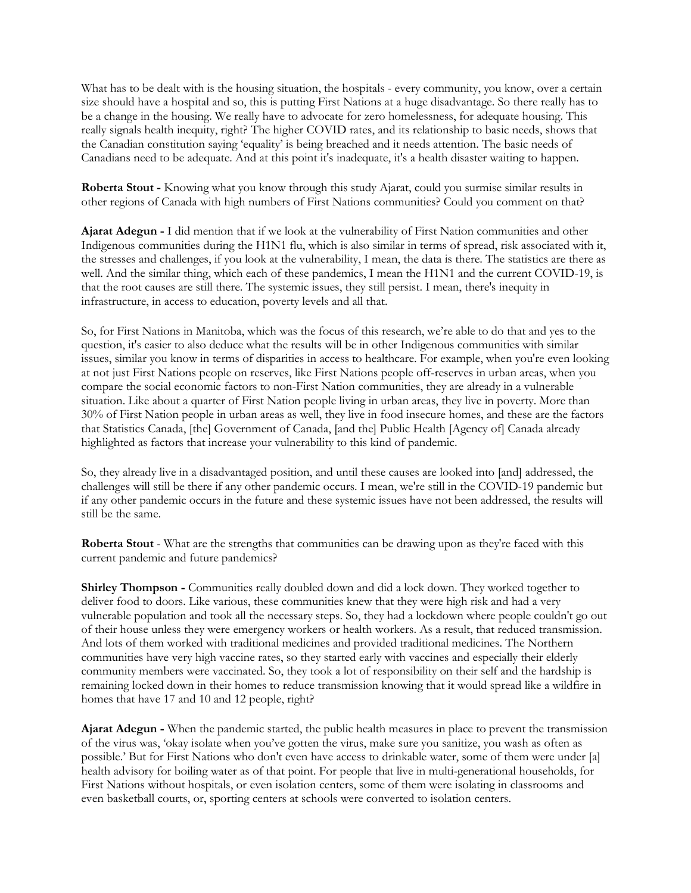What has to be dealt with is the housing situation, the hospitals - every community, you know, over a certain size should have a hospital and so, this is putting First Nations at a huge disadvantage. So there really has to be a change in the housing. We really have to advocate for zero homelessness, for adequate housing. This really signals health inequity, right? The higher COVID rates, and its relationship to basic needs, shows that the Canadian constitution saying 'equality' is being breached and it needs attention. The basic needs of Canadians need to be adequate. And at this point it's inadequate, it's a health disaster waiting to happen.

**Roberta Stout -** Knowing what you know through this study Ajarat, could you surmise similar results in other regions of Canada with high numbers of First Nations communities? Could you comment on that?

**Ajarat Adegun -** I did mention that if we look at the vulnerability of First Nation communities and other Indigenous communities during the H1N1 flu, which is also similar in terms of spread, risk associated with it, the stresses and challenges, if you look at the vulnerability, I mean, the data is there. The statistics are there as well. And the similar thing, which each of these pandemics, I mean the H1N1 and the current COVID-19, is that the root causes are still there. The systemic issues, they still persist. I mean, there's inequity in infrastructure, in access to education, poverty levels and all that.

So, for First Nations in Manitoba, which was the focus of this research, we're able to do that and yes to the question, it's easier to also deduce what the results will be in other Indigenous communities with similar issues, similar you know in terms of disparities in access to healthcare. For example, when you're even looking at not just First Nations people on reserves, like First Nations people off-reserves in urban areas, when you compare the social economic factors to non-First Nation communities, they are already in a vulnerable situation. Like about a quarter of First Nation people living in urban areas, they live in poverty. More than 30% of First Nation people in urban areas as well, they live in food insecure homes, and these are the factors that Statistics Canada, [the] Government of Canada, [and the] Public Health [Agency of] Canada already highlighted as factors that increase your vulnerability to this kind of pandemic.

So, they already live in a disadvantaged position, and until these causes are looked into [and] addressed, the challenges will still be there if any other pandemic occurs. I mean, we're still in the COVID-19 pandemic but if any other pandemic occurs in the future and these systemic issues have not been addressed, the results will still be the same.

**Roberta Stout** - What are the strengths that communities can be drawing upon as they're faced with this current pandemic and future pandemics?

**Shirley Thompson -** Communities really doubled down and did a lock down. They worked together to deliver food to doors. Like various, these communities knew that they were high risk and had a very vulnerable population and took all the necessary steps. So, they had a lockdown where people couldn't go out of their house unless they were emergency workers or health workers. As a result, that reduced transmission. And lots of them worked with traditional medicines and provided traditional medicines. The Northern communities have very high vaccine rates, so they started early with vaccines and especially their elderly community members were vaccinated. So, they took a lot of responsibility on their self and the hardship is remaining locked down in their homes to reduce transmission knowing that it would spread like a wildfire in homes that have 17 and 10 and 12 people, right?

**Ajarat Adegun -** When the pandemic started, the public health measures in place to prevent the transmission of the virus was, 'okay isolate when you've gotten the virus, make sure you sanitize, you wash as often as possible.' But for First Nations who don't even have access to drinkable water, some of them were under [a] health advisory for boiling water as of that point. For people that live in multi-generational households, for First Nations without hospitals, or even isolation centers, some of them were isolating in classrooms and even basketball courts, or, sporting centers at schools were converted to isolation centers.